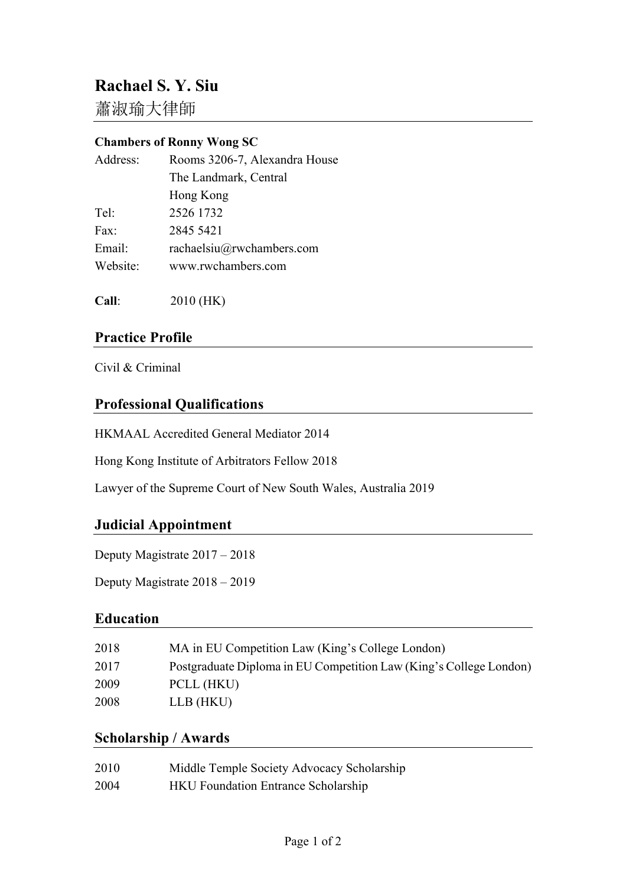# **Rachael S. Y. Siu**

蕭淑瑜大律師

#### **Chambers of Ronny Wong SC**

| Address: | Rooms 3206-7, Alexandra House |
|----------|-------------------------------|
|          | The Landmark, Central         |
|          | Hong Kong                     |
| Tel:     | 2526 1732                     |
| Fax:     | 2845 5421                     |
| Email:   | rachaelsiu@rwchambers.com     |
| Website: | www.rwchambers.com            |
|          |                               |

**Call**: 2010 (HK)

## **Practice Profile**

Civil & Criminal

## **Professional Qualifications**

HKMAAL Accredited General Mediator 2014

Hong Kong Institute of Arbitrators Fellow 2018

Lawyer of the Supreme Court of New South Wales, Australia 2019

## **Judicial Appointment**

Deputy Magistrate 2017 – 2018

Deputy Magistrate 2018 – 2019

## **Education**

| 2018 | MA in EU Competition Law (King's College London)                   |
|------|--------------------------------------------------------------------|
| 2017 | Postgraduate Diploma in EU Competition Law (King's College London) |
| 2009 | PCLL (HKU)                                                         |
| 2008 | LLB (HKU)                                                          |

## **Scholarship / Awards**

| 2010 | Middle Temple Society Advocacy Scholarship |
|------|--------------------------------------------|
| 2004 | <b>HKU</b> Foundation Entrance Scholarship |